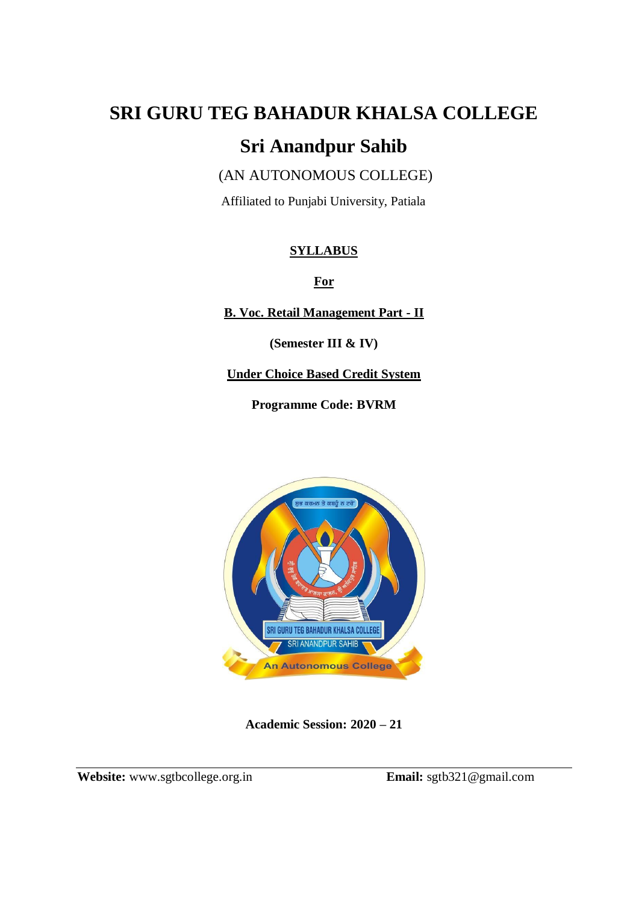# **SRI GURU TEG BAHADUR KHALSA COLLEGE**

## **Sri Anandpur Sahib**

(AN AUTONOMOUS COLLEGE)

Affiliated to Punjabi University, Patiala

### **SYLLABUS**

**For** 

**B. Voc. Retail Management Part - II**

**(Semester III & IV)**

**Under Choice Based Credit System** 

**Programme Code: BVRM**



**Academic Session: 2020 – 21**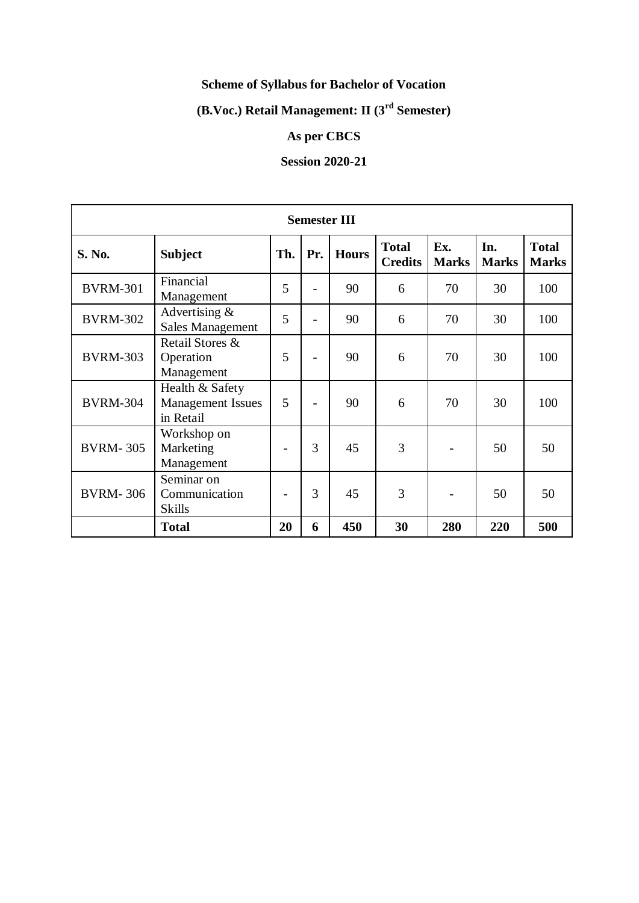### **Scheme of Syllabus for Bachelor of Vocation**

### **(B.Voc.) Retail Management: II (3rd Semester)**

### **As per CBCS**

### **Session 2020-21**

| <b>Semester III</b> |                                                          |     |     |              |                                |                     |                     |                              |
|---------------------|----------------------------------------------------------|-----|-----|--------------|--------------------------------|---------------------|---------------------|------------------------------|
| S. No.              | <b>Subject</b>                                           | Th. | Pr. | <b>Hours</b> | <b>Total</b><br><b>Credits</b> | Ex.<br><b>Marks</b> | In.<br><b>Marks</b> | <b>Total</b><br><b>Marks</b> |
| <b>BVRM-301</b>     | Financial<br>Management                                  | 5   |     | 90           | 6                              | 70                  | 30                  | 100                          |
| <b>BVRM-302</b>     | Advertising $\&$<br><b>Sales Management</b>              | 5   |     | 90           | 6                              | 70                  | 30                  | 100                          |
| <b>BVRM-303</b>     | Retail Stores &<br>Operation<br>Management               | 5   |     | 90           | 6                              | 70                  | 30                  | 100                          |
| <b>BVRM-304</b>     | Health & Safety<br><b>Management Issues</b><br>in Retail | 5   |     | 90           | 6                              | 70                  | 30                  | 100                          |
| <b>BVRM-305</b>     | Workshop on<br>Marketing<br>Management                   |     | 3   | 45           | 3                              |                     | 50                  | 50                           |
| <b>BVRM-306</b>     | Seminar on<br>Communication<br><b>Skills</b>             |     | 3   | 45           | 3                              |                     | 50                  | 50                           |
|                     | <b>Total</b>                                             | 20  | 6   | 450          | 30                             | 280                 | 220                 | 500                          |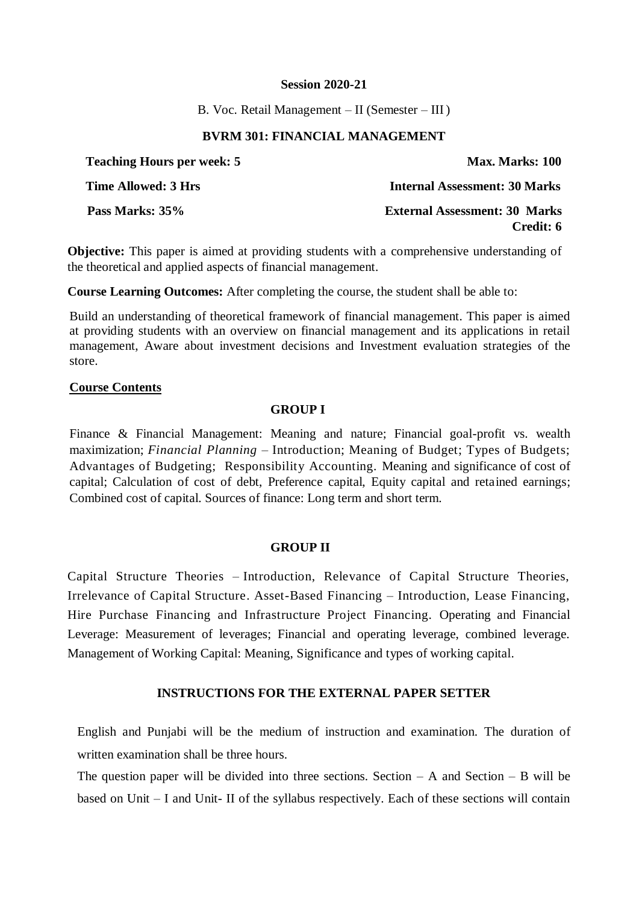B. Voc. Retail Management – II (Semester – III )

### **BVRM 301: FINANCIAL MANAGEMENT**

| <b>Teaching Hours per week: 5</b> | <b>Max. Marks: 100</b>                            |
|-----------------------------------|---------------------------------------------------|
| Time Allowed: 3 Hrs               | <b>Internal Assessment: 30 Marks</b>              |
| Pass Marks: 35%                   | <b>External Assessment: 30 Marks</b><br>Credit: 6 |

**Objective:** This paper is aimed at providing students with a comprehensive understanding of the theoretical and applied aspects of financial management.

**Course Learning Outcomes:** After completing the course, the student shall be able to:

Build an understanding of theoretical framework of financial management. This paper is aimed at providing students with an overview on financial management and its applications in retail management, Aware about investment decisions and Investment evaluation strategies of the store.

### **Course Contents**

### **GROUP I**

Finance & Financial Management: Meaning and nature; Financial goal-profit vs. wealth maximization; *Financial Planning* – Introduction; Meaning of Budget; Types of Budgets; Advantages of Budgeting; Responsibility Accounting. Meaning and significance of cost of capital; Calculation of cost of debt, Preference capital, Equity capital and retained earnings; Combined cost of capital. Sources of finance: Long term and short term.

### **GROUP II**

Capital Structure Theories – Introduction, Relevance of Capital Structure Theories, Irrelevance of Capital Structure. Asset-Based Financing – Introduction, Lease Financing, Hire Purchase Financing and Infrastructure Project Financing. Operating and Financial Leverage: Measurement of leverages; Financial and operating leverage, combined leverage. Management of Working Capital: Meaning, Significance and types of working capital.

### **INSTRUCTIONS FOR THE EXTERNAL PAPER SETTER**

English and Punjabi will be the medium of instruction and examination. The duration of written examination shall be three hours.

The question paper will be divided into three sections. Section  $- A$  and Section  $- B$  will be based on Unit – I and Unit- II of the syllabus respectively. Each of these sections will contain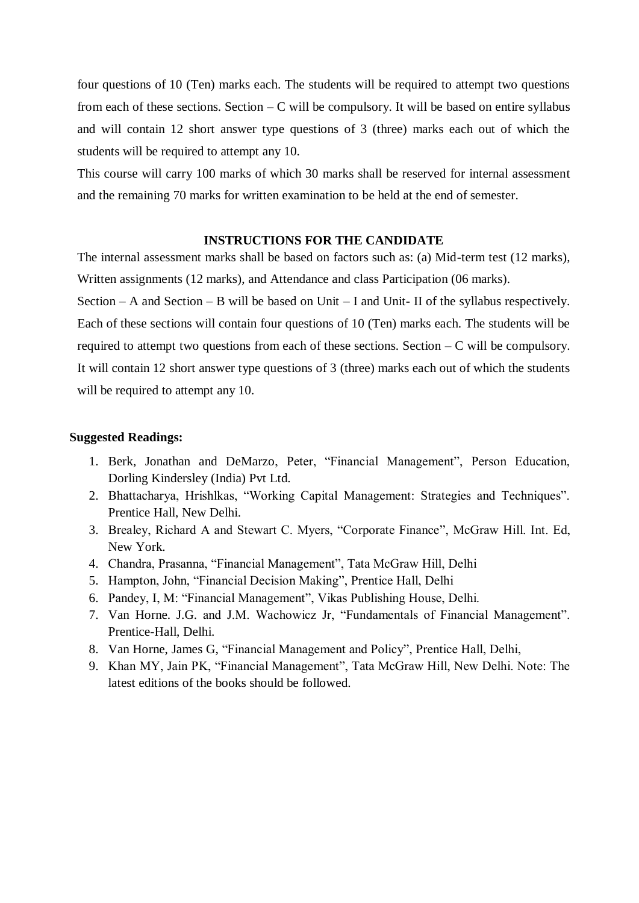four questions of 10 (Ten) marks each. The students will be required to attempt two questions from each of these sections. Section  $-C$  will be compulsory. It will be based on entire syllabus and will contain 12 short answer type questions of 3 (three) marks each out of which the students will be required to attempt any 10.

This course will carry 100 marks of which 30 marks shall be reserved for internal assessment and the remaining 70 marks for written examination to be held at the end of semester.

### **INSTRUCTIONS FOR THE CANDIDATE**

The internal assessment marks shall be based on factors such as: (a) Mid-term test (12 marks), Written assignments (12 marks), and Attendance and class Participation (06 marks).

Section – A and Section – B will be based on Unit – I and Unit- II of the syllabus respectively. Each of these sections will contain four questions of 10 (Ten) marks each. The students will be required to attempt two questions from each of these sections. Section – C will be compulsory. It will contain 12 short answer type questions of 3 (three) marks each out of which the students will be required to attempt any 10.

- 1. Berk, Jonathan and DeMarzo, Peter, "Financial Management", Person Education, Dorling Kindersley (India) Pvt Ltd.
- 2. Bhattacharya, Hrishlkas, "Working Capital Management: Strategies and Techniques". Prentice Hall, New Delhi.
- 3. Brealey, Richard A and Stewart C. Myers, "Corporate Finance", McGraw Hill. Int. Ed, New York.
- 4. Chandra, Prasanna, "Financial Management", Tata McGraw Hill, Delhi
- 5. Hampton, John, "Financial Decision Making", Prentice Hall, Delhi
- 6. Pandey, I, M: "Financial Management", Vikas Publishing House, Delhi.
- 7. Van Horne. J.G. and J.M. Wachowicz Jr, "Fundamentals of Financial Management". Prentice-Hall, Delhi.
- 8. Van Horne, James G, "Financial Management and Policy", Prentice Hall, Delhi,
- 9. Khan MY, Jain PK, "Financial Management", Tata McGraw Hill, New Delhi. Note: The latest editions of the books should be followed.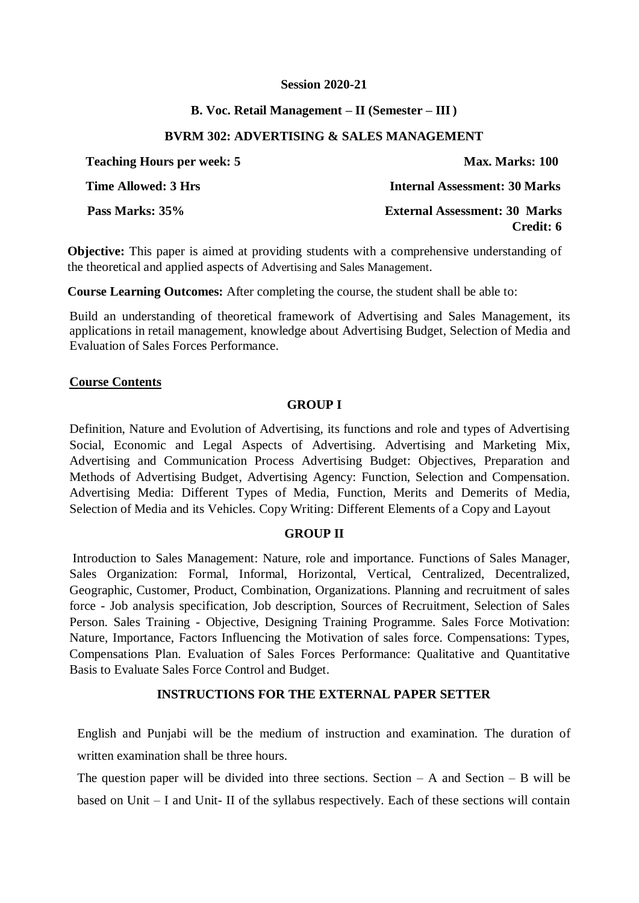### **B. Voc. Retail Management – II (Semester – III)**

### **BVRM 302: ADVERTISING & SALES MANAGEMENT**

| <b>Teaching Hours per week: 5</b> | Max. Marks: 100                                   |
|-----------------------------------|---------------------------------------------------|
| <b>Time Allowed: 3 Hrs</b>        | <b>Internal Assessment: 30 Marks</b>              |
| Pass Marks: 35%                   | <b>External Assessment: 30 Marks</b><br>Credit: 6 |

**Objective:** This paper is aimed at providing students with a comprehensive understanding of the theoretical and applied aspects of Advertising and Sales Management.

**Course Learning Outcomes:** After completing the course, the student shall be able to:

Build an understanding of theoretical framework of Advertising and Sales Management, its applications in retail management, knowledge about Advertising Budget, Selection of Media and Evaluation of Sales Forces Performance.

### **Course Contents**

### **GROUP I**

Definition, Nature and Evolution of Advertising, its functions and role and types of Advertising Social, Economic and Legal Aspects of Advertising. Advertising and Marketing Mix, Advertising and Communication Process Advertising Budget: Objectives, Preparation and Methods of Advertising Budget, Advertising Agency: Function, Selection and Compensation. Advertising Media: Different Types of Media, Function, Merits and Demerits of Media, Selection of Media and its Vehicles. Copy Writing: Different Elements of a Copy and Layout

### **GROUP II**

Introduction to Sales Management: Nature, role and importance. Functions of Sales Manager, Sales Organization: Formal, Informal, Horizontal, Vertical, Centralized, Decentralized, Geographic, Customer, Product, Combination, Organizations. Planning and recruitment of sales force - Job analysis specification, Job description, Sources of Recruitment, Selection of Sales Person. Sales Training - Objective, Designing Training Programme. Sales Force Motivation: Nature, Importance, Factors Influencing the Motivation of sales force. Compensations: Types, Compensations Plan. Evaluation of Sales Forces Performance: Qualitative and Quantitative Basis to Evaluate Sales Force Control and Budget.

### **INSTRUCTIONS FOR THE EXTERNAL PAPER SETTER**

English and Punjabi will be the medium of instruction and examination. The duration of written examination shall be three hours.

The question paper will be divided into three sections. Section  $- A$  and Section  $- B$  will be based on Unit – I and Unit- II of the syllabus respectively. Each of these sections will contain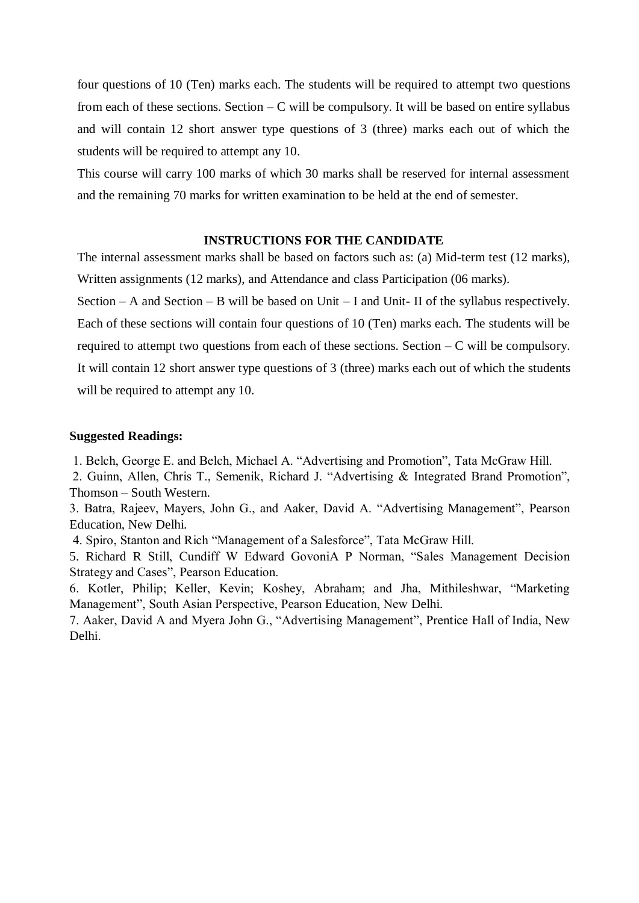four questions of 10 (Ten) marks each. The students will be required to attempt two questions from each of these sections. Section  $-C$  will be compulsory. It will be based on entire syllabus and will contain 12 short answer type questions of 3 (three) marks each out of which the students will be required to attempt any 10.

This course will carry 100 marks of which 30 marks shall be reserved for internal assessment and the remaining 70 marks for written examination to be held at the end of semester.

### **INSTRUCTIONS FOR THE CANDIDATE**

The internal assessment marks shall be based on factors such as: (a) Mid-term test (12 marks), Written assignments (12 marks), and Attendance and class Participation (06 marks).

Section – A and Section – B will be based on Unit – I and Unit- II of the syllabus respectively. Each of these sections will contain four questions of 10 (Ten) marks each. The students will be required to attempt two questions from each of these sections. Section  $-C$  will be compulsory. It will contain 12 short answer type questions of 3 (three) marks each out of which the students will be required to attempt any 10.

### **Suggested Readings:**

1. Belch, George E. and Belch, Michael A. "Advertising and Promotion", Tata McGraw Hill.

2. Guinn, Allen, Chris T., Semenik, Richard J. "Advertising & Integrated Brand Promotion", Thomson – South Western.

3. Batra, Rajeev, Mayers, John G., and Aaker, David A. "Advertising Management", Pearson Education, New Delhi.

4. Spiro, Stanton and Rich "Management of a Salesforce", Tata McGraw Hill.

5. Richard R Still, Cundiff W Edward GovoniA P Norman, "Sales Management Decision Strategy and Cases", Pearson Education.

6. Kotler, Philip; Keller, Kevin; Koshey, Abraham; and Jha, Mithileshwar, "Marketing Management", South Asian Perspective, Pearson Education, New Delhi.

7. Aaker, David A and Myera John G., "Advertising Management", Prentice Hall of India, New Delhi.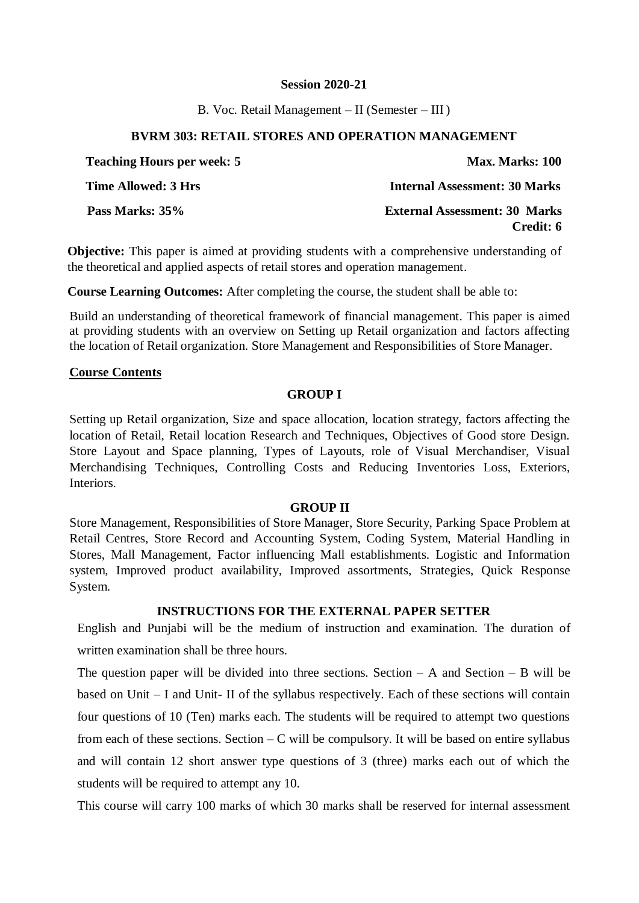B. Voc. Retail Management – II (Semester – III )

### **BVRM 303: RETAIL STORES AND OPERATION MANAGEMENT**

| <b>Teaching Hours per week: 5</b> | Max. Marks: 100                                   |
|-----------------------------------|---------------------------------------------------|
| Time Allowed: 3 Hrs               | <b>Internal Assessment: 30 Marks</b>              |
| Pass Marks: 35%                   | <b>External Assessment: 30 Marks</b><br>Credit: 6 |

**Objective:** This paper is aimed at providing students with a comprehensive understanding of the theoretical and applied aspects of retail stores and operation management.

**Course Learning Outcomes:** After completing the course, the student shall be able to:

Build an understanding of theoretical framework of financial management. This paper is aimed at providing students with an overview on Setting up Retail organization and factors affecting the location of Retail organization. Store Management and Responsibilities of Store Manager.

### **Course Contents**

### **GROUP I**

Setting up Retail organization, Size and space allocation, location strategy, factors affecting the location of Retail, Retail location Research and Techniques, Objectives of Good store Design. Store Layout and Space planning, Types of Layouts, role of Visual Merchandiser, Visual Merchandising Techniques, Controlling Costs and Reducing Inventories Loss, Exteriors, Interiors.

### **GROUP II**

Store Management, Responsibilities of Store Manager, Store Security, Parking Space Problem at Retail Centres, Store Record and Accounting System, Coding System, Material Handling in Stores, Mall Management, Factor influencing Mall establishments. Logistic and Information system, Improved product availability, Improved assortments, Strategies, Quick Response System.

### **INSTRUCTIONS FOR THE EXTERNAL PAPER SETTER**

English and Punjabi will be the medium of instruction and examination. The duration of written examination shall be three hours.

The question paper will be divided into three sections. Section  $- A$  and Section  $- B$  will be based on Unit – I and Unit- II of the syllabus respectively. Each of these sections will contain four questions of 10 (Ten) marks each. The students will be required to attempt two questions from each of these sections. Section  $-C$  will be compulsory. It will be based on entire syllabus and will contain 12 short answer type questions of 3 (three) marks each out of which the students will be required to attempt any 10.

This course will carry 100 marks of which 30 marks shall be reserved for internal assessment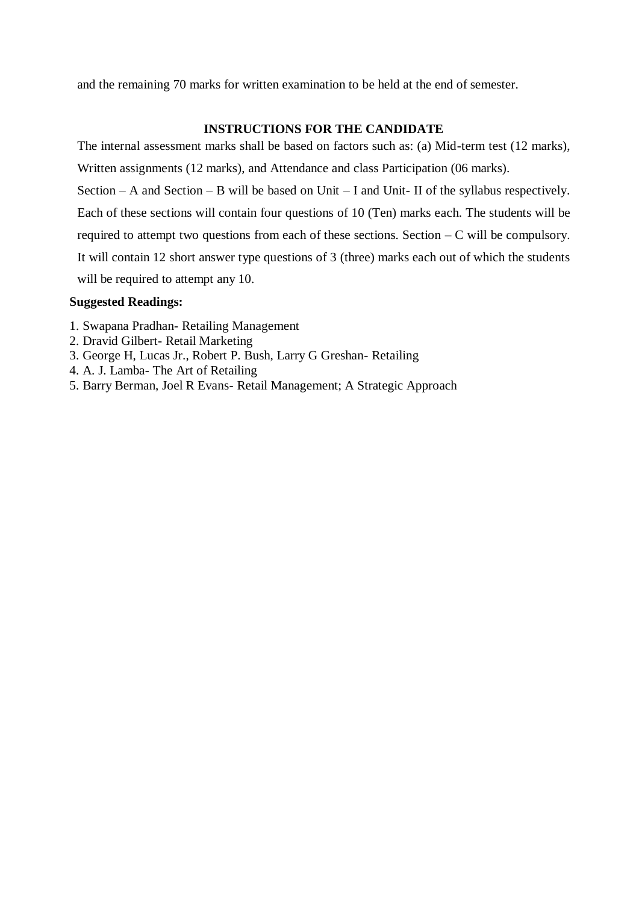and the remaining 70 marks for written examination to be held at the end of semester.

### **INSTRUCTIONS FOR THE CANDIDATE**

The internal assessment marks shall be based on factors such as: (a) Mid-term test (12 marks), Written assignments (12 marks), and Attendance and class Participation (06 marks). Section – A and Section – B will be based on Unit – I and Unit- II of the syllabus respectively. Each of these sections will contain four questions of 10 (Ten) marks each. The students will be required to attempt two questions from each of these sections. Section  $-C$  will be compulsory. It will contain 12 short answer type questions of 3 (three) marks each out of which the students will be required to attempt any 10.

- 1. Swapana Pradhan- Retailing Management
- 2. Dravid Gilbert- Retail Marketing
- 3. George H, Lucas Jr., Robert P. Bush, Larry G Greshan- Retailing
- 4. A. J. Lamba- The Art of Retailing
- 5. Barry Berman, Joel R Evans- Retail Management; A Strategic Approach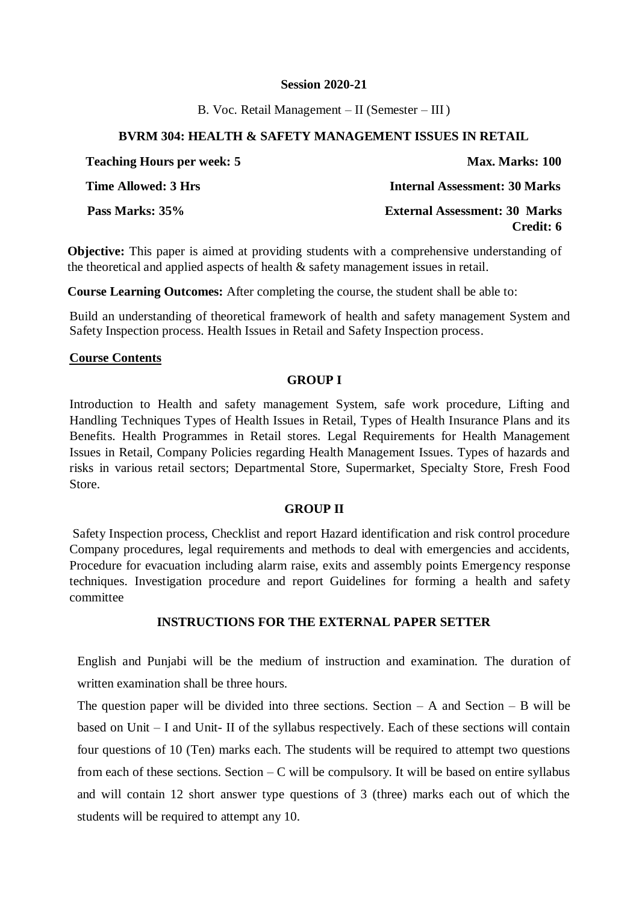B. Voc. Retail Management – II (Semester – III )

### **BVRM 304: HEALTH & SAFETY MANAGEMENT ISSUES IN RETAIL**

| <b>Teaching Hours per week: 5</b> | Max. Marks: 100                                   |
|-----------------------------------|---------------------------------------------------|
| Time Allowed: 3 Hrs               | <b>Internal Assessment: 30 Marks</b>              |
| Pass Marks: 35%                   | <b>External Assessment: 30 Marks</b><br>Credit: 6 |

**Objective:** This paper is aimed at providing students with a comprehensive understanding of the theoretical and applied aspects of health & safety management issues in retail.

**Course Learning Outcomes:** After completing the course, the student shall be able to:

Build an understanding of theoretical framework of health and safety management System and Safety Inspection process. Health Issues in Retail and Safety Inspection process.

### **Course Contents**

### **GROUP I**

Introduction to Health and safety management System, safe work procedure, Lifting and Handling Techniques Types of Health Issues in Retail, Types of Health Insurance Plans and its Benefits. Health Programmes in Retail stores. Legal Requirements for Health Management Issues in Retail, Company Policies regarding Health Management Issues. Types of hazards and risks in various retail sectors; Departmental Store, Supermarket, Specialty Store, Fresh Food Store.

### **GROUP II**

Safety Inspection process, Checklist and report Hazard identification and risk control procedure Company procedures, legal requirements and methods to deal with emergencies and accidents, Procedure for evacuation including alarm raise, exits and assembly points Emergency response techniques. Investigation procedure and report Guidelines for forming a health and safety committee

### **INSTRUCTIONS FOR THE EXTERNAL PAPER SETTER**

English and Punjabi will be the medium of instruction and examination. The duration of written examination shall be three hours.

The question paper will be divided into three sections. Section  $- A$  and Section  $- B$  will be based on Unit – I and Unit- II of the syllabus respectively. Each of these sections will contain four questions of 10 (Ten) marks each. The students will be required to attempt two questions from each of these sections. Section  $-C$  will be compulsory. It will be based on entire syllabus and will contain 12 short answer type questions of 3 (three) marks each out of which the students will be required to attempt any 10.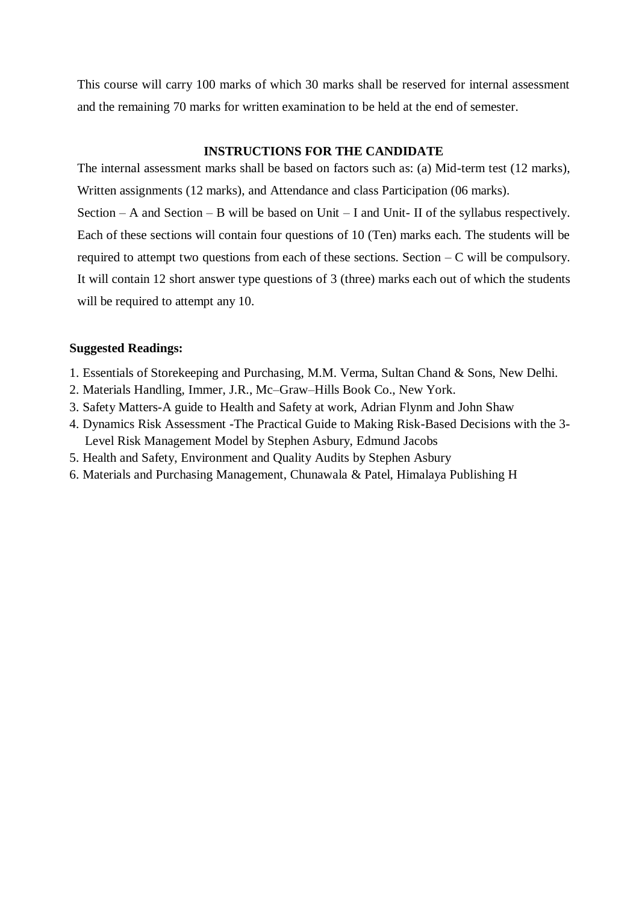This course will carry 100 marks of which 30 marks shall be reserved for internal assessment and the remaining 70 marks for written examination to be held at the end of semester.

### **INSTRUCTIONS FOR THE CANDIDATE**

The internal assessment marks shall be based on factors such as: (a) Mid-term test (12 marks), Written assignments (12 marks), and Attendance and class Participation (06 marks). Section – A and Section – B will be based on Unit – I and Unit- II of the syllabus respectively. Each of these sections will contain four questions of 10 (Ten) marks each. The students will be required to attempt two questions from each of these sections. Section  $-C$  will be compulsory. It will contain 12 short answer type questions of 3 (three) marks each out of which the students will be required to attempt any 10.

- 1. Essentials of Storekeeping and Purchasing, M.M. Verma, Sultan Chand & Sons, New Delhi.
- 2. Materials Handling, Immer, J.R., Mc–Graw–Hills Book Co., New York.
- 3. Safety Matters-A guide to Health and Safety at work, Adrian Flynm and John Shaw
- 4. Dynamics Risk Assessment -The Practical Guide to Making Risk-Based Decisions with the 3- Level Risk Management Model by Stephen Asbury, Edmund Jacobs
- 5. Health and Safety, Environment and Quality Audits by Stephen Asbury
- 6. Materials and Purchasing Management, Chunawala & Patel, Himalaya Publishing H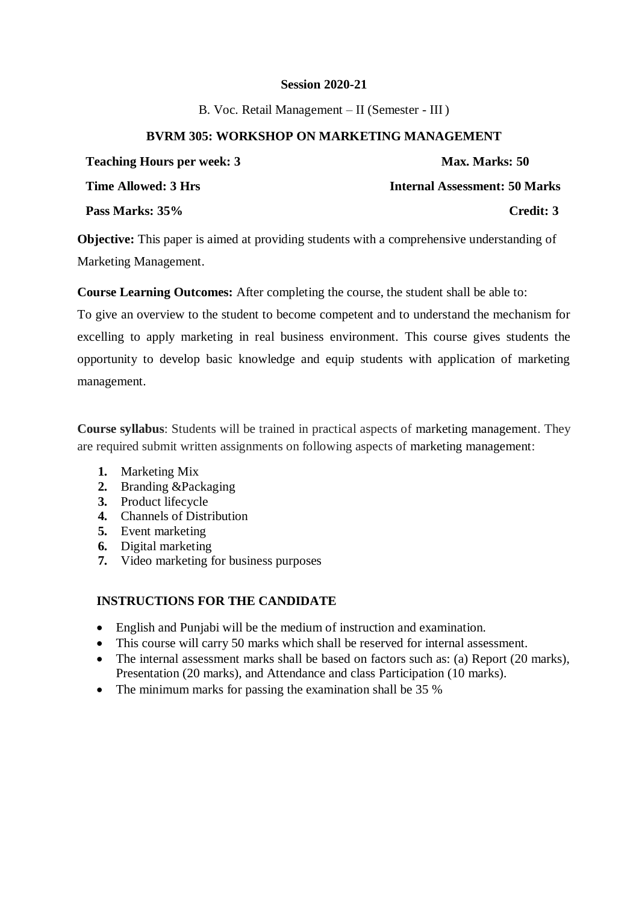B. Voc. Retail Management – II (Semester - III )

### **BVRM 305: WORKSHOP ON MARKETING MANAGEMENT**

| <b>Teaching Hours per week: 3</b> | Max. Marks: 50                       |
|-----------------------------------|--------------------------------------|
| <b>Time Allowed: 3 Hrs</b>        | <b>Internal Assessment: 50 Marks</b> |
| Pass Marks: 35%                   | Credit: 3                            |

**Objective:** This paper is aimed at providing students with a comprehensive understanding of Marketing Management.

**Course Learning Outcomes:** After completing the course, the student shall be able to:

To give an overview to the student to become competent and to understand the mechanism for excelling to apply marketing in real business environment. This course gives students the opportunity to develop basic knowledge and equip students with application of marketing management.

**Course syllabus**: Students will be trained in practical aspects of marketing management. They are required submit written assignments on following aspects of marketing management:

- **1.** Marketing Mix
- **2.** Branding &Packaging
- **3.** Product lifecycle
- **4.** Channels of Distribution
- **5.** Event marketing
- **6.** Digital marketing
- **7.** Video marketing for business purposes

### **INSTRUCTIONS FOR THE CANDIDATE**

- English and Punjabi will be the medium of instruction and examination.
- This course will carry 50 marks which shall be reserved for internal assessment.
- The internal assessment marks shall be based on factors such as: (a) Report (20 marks), Presentation (20 marks), and Attendance and class Participation (10 marks).
- The minimum marks for passing the examination shall be 35 %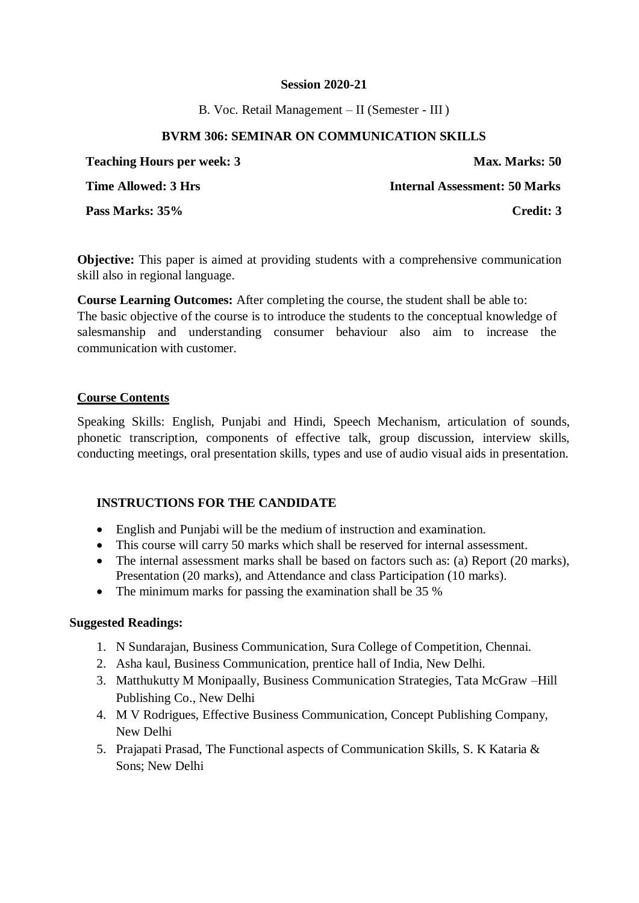B. Voc. Retail Management – II (Semester - III )

### **BVRM 306: SEMINAR ON COMMUNICATION SKILLS**

| <b>Teaching Hours per week: 3</b> | <b>Max. Marks: 50</b>         |
|-----------------------------------|-------------------------------|
| <b>Time Allowed: 3 Hrs</b>        | Internal Assessment: 50 Marks |
| Pass Marks: 35%                   | Credit: 3                     |

**Objective:** This paper is aimed at providing students with a comprehensive communication skill also in regional language.

**Course Learning Outcomes:** After completing the course, the student shall be able to: The basic objective of the course is to introduce the students to the conceptual knowledge of salesmanship and understanding consumer behaviour also aim to increase the communication with customer.

### **Course Contents**

Speaking Skills: English, Punjabi and Hindi, Speech Mechanism, articulation of sounds, phonetic transcription, components of effective talk, group discussion, interview skills, conducting meetings, oral presentation skills, types and use of audio visual aids in presentation.

### **INSTRUCTIONS FOR THE CANDIDATE**

- English and Punjabi will be the medium of instruction and examination.
- This course will carry 50 marks which shall be reserved for internal assessment.
- The internal assessment marks shall be based on factors such as: (a) Report (20 marks), Presentation (20 marks), and Attendance and class Participation (10 marks).
- The minimum marks for passing the examination shall be 35 %

- 1. N Sundarajan, Business Communication, Sura College of Competition, Chennai.
- 2. Asha kaul, Business Communication, prentice hall of India, New Delhi.
- 3. Matthukutty M Monipaally, Business Communication Strategies, Tata McGraw –Hill Publishing Co., New Delhi
- 4. M V Rodrigues, Effective Business Communication, Concept Publishing Company, New Delhi
- 5. Prajapati Prasad, The Functional aspects of Communication Skills, S. K Kataria & Sons; New Delhi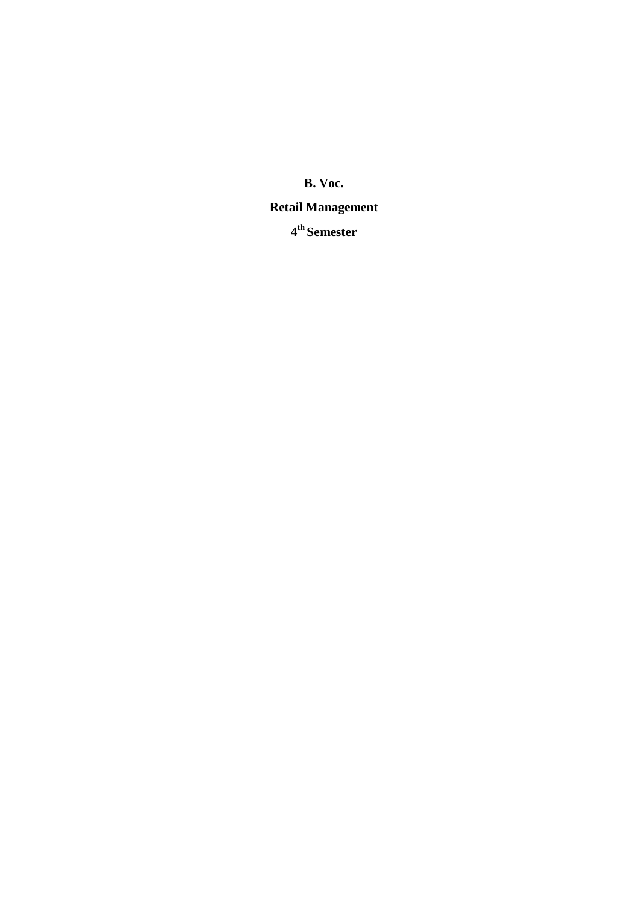**B. Voc.** 

### **Retail Management**

**4 th Semester**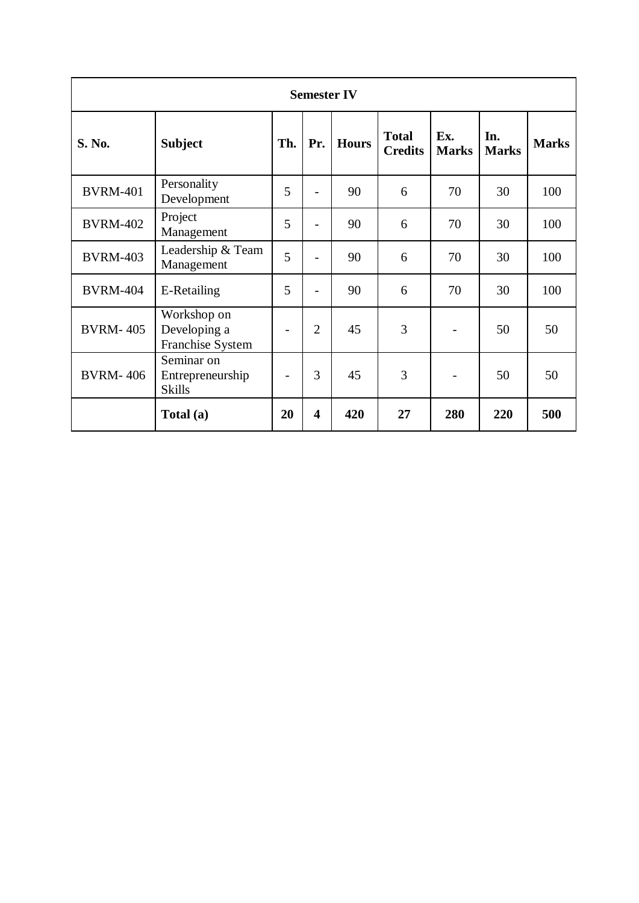| <b>Semester IV</b> |                                                 |     |                          |              |                                |                     |                     |              |
|--------------------|-------------------------------------------------|-----|--------------------------|--------------|--------------------------------|---------------------|---------------------|--------------|
| <b>S. No.</b>      | <b>Subject</b>                                  | Th. | Pr.                      | <b>Hours</b> | <b>Total</b><br><b>Credits</b> | Ex.<br><b>Marks</b> | In.<br><b>Marks</b> | <b>Marks</b> |
| <b>BVRM-401</b>    | Personality<br>Development                      | 5   | $\overline{\phantom{a}}$ | 90           | 6                              | 70                  | 30                  | 100          |
| <b>BVRM-402</b>    | Project<br>Management                           | 5   | $\overline{a}$           | 90           | 6                              | 70                  | 30                  | 100          |
| <b>BVRM-403</b>    | Leadership & Team<br>Management                 | 5   |                          | 90           | 6                              | 70                  | 30                  | 100          |
| <b>BVRM-404</b>    | E-Retailing                                     | 5   | $\overline{\phantom{0}}$ | 90           | 6                              | 70                  | 30                  | 100          |
| <b>BVRM-405</b>    | Workshop on<br>Developing a<br>Franchise System | -   | $\overline{2}$           | 45           | 3                              | $\qquad \qquad$     | 50                  | 50           |
| <b>BVRM-406</b>    | Seminar on<br>Entrepreneurship<br><b>Skills</b> |     | 3                        | 45           | 3                              |                     | 50                  | 50           |
|                    | Total (a)                                       | 20  | $\overline{\mathbf{4}}$  | 420          | 27                             | 280                 | 220                 | 500          |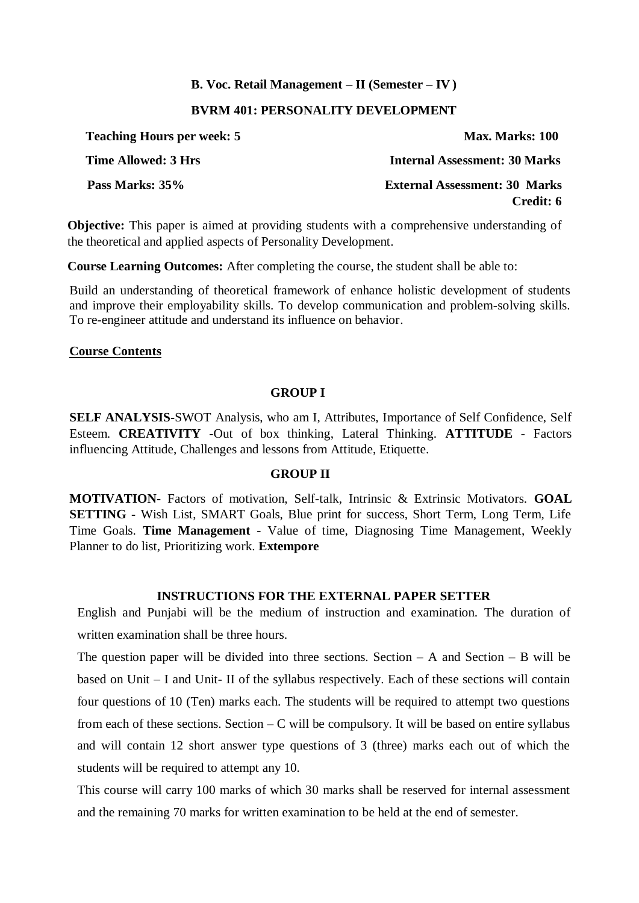### **B. Voc. Retail Management – II (Semester – IV )**

### **BVRM 401: PERSONALITY DEVELOPMENT**

| <b>Teaching Hours per week: 5</b> | Max. Marks: 100                      |
|-----------------------------------|--------------------------------------|
| Time Allowed: 3 Hrs               | <b>Internal Assessment: 30 Marks</b> |
| Pass Marks: 35%                   | <b>External Assessment: 30 Marks</b> |
|                                   | Credit: 6                            |

**Objective:** This paper is aimed at providing students with a comprehensive understanding of the theoretical and applied aspects of Personality Development.

**Course Learning Outcomes:** After completing the course, the student shall be able to:

Build an understanding of theoretical framework of enhance holistic development of students and improve their employability skills. To develop communication and problem-solving skills. To re-engineer attitude and understand its influence on behavior.

### **Course Contents**

### **GROUP I**

**SELF ANALYSIS-**SWOT Analysis, who am I, Attributes, Importance of Self Confidence, Self Esteem. **CREATIVITY -**Out of box thinking, Lateral Thinking. **ATTITUDE** - Factors influencing Attitude, Challenges and lessons from Attitude, Etiquette.

### **GROUP II**

**MOTIVATION-** Factors of motivation, Self-talk, Intrinsic & Extrinsic Motivators. **GOAL SETTING -** Wish List, SMART Goals, Blue print for success, Short Term, Long Term, Life Time Goals. **Time Management** - Value of time, Diagnosing Time Management, Weekly Planner to do list, Prioritizing work. **Extempore**

### **INSTRUCTIONS FOR THE EXTERNAL PAPER SETTER**

English and Punjabi will be the medium of instruction and examination. The duration of written examination shall be three hours.

The question paper will be divided into three sections. Section  $- A$  and Section  $- B$  will be based on Unit – I and Unit- II of the syllabus respectively. Each of these sections will contain four questions of 10 (Ten) marks each. The students will be required to attempt two questions from each of these sections. Section  $-C$  will be compulsory. It will be based on entire syllabus and will contain 12 short answer type questions of 3 (three) marks each out of which the students will be required to attempt any 10.

This course will carry 100 marks of which 30 marks shall be reserved for internal assessment and the remaining 70 marks for written examination to be held at the end of semester.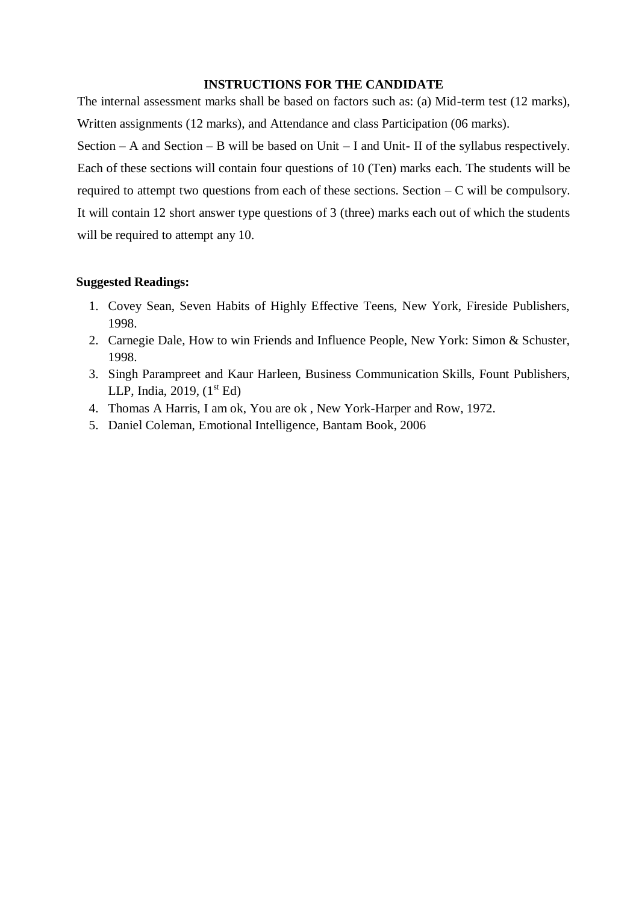### **INSTRUCTIONS FOR THE CANDIDATE**

The internal assessment marks shall be based on factors such as: (a) Mid-term test (12 marks), Written assignments (12 marks), and Attendance and class Participation (06 marks).

Section – A and Section – B will be based on Unit – I and Unit- II of the syllabus respectively. Each of these sections will contain four questions of 10 (Ten) marks each. The students will be required to attempt two questions from each of these sections. Section  $-C$  will be compulsory. It will contain 12 short answer type questions of 3 (three) marks each out of which the students will be required to attempt any 10.

- 1. Covey Sean, Seven Habits of Highly Effective Teens, New York, Fireside Publishers, 1998.
- 2. Carnegie Dale, How to win Friends and Influence People, New York: Simon & Schuster, 1998.
- 3. Singh Parampreet and Kaur Harleen, Business Communication Skills, Fount Publishers, LLP, India, 2019,  $(1<sup>st</sup> Ed)$
- 4. Thomas A Harris, I am ok, You are ok , New York-Harper and Row, 1972.
- 5. Daniel Coleman, Emotional Intelligence, Bantam Book, 2006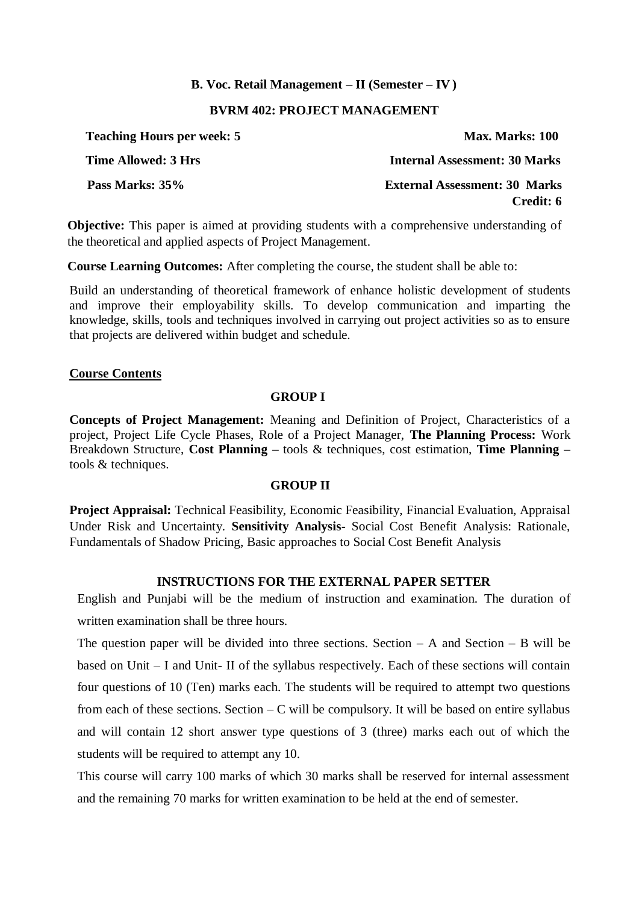### **B. Voc. Retail Management – II (Semester – IV )**

### **BVRM 402: PROJECT MANAGEMENT**

| <b>Teaching Hours per week: 5</b> | Max. Marks: 100                      |
|-----------------------------------|--------------------------------------|
| Time Allowed: 3 Hrs               | <b>Internal Assessment: 30 Marks</b> |
| Pass Marks: 35%                   | <b>External Assessment: 30 Marks</b> |
|                                   | Credit: 6                            |

**Objective:** This paper is aimed at providing students with a comprehensive understanding of the theoretical and applied aspects of Project Management.

**Course Learning Outcomes:** After completing the course, the student shall be able to:

Build an understanding of theoretical framework of enhance holistic development of students and improve their employability skills. To develop communication and imparting the knowledge, skills, tools and techniques involved in carrying out project activities so as to ensure that projects are delivered within budget and schedule.

### **Course Contents**

### **GROUP I**

**Concepts of Project Management:** Meaning and Definition of Project, Characteristics of a project, Project Life Cycle Phases, Role of a Project Manager, **The Planning Process:** Work Breakdown Structure, **Cost Planning –** tools & techniques, cost estimation, **Time Planning –** tools & techniques.

### **GROUP II**

**Project Appraisal:** Technical Feasibility, Economic Feasibility, Financial Evaluation, Appraisal Under Risk and Uncertainty. **Sensitivity Analysis-** Social Cost Benefit Analysis: Rationale, Fundamentals of Shadow Pricing, Basic approaches to Social Cost Benefit Analysis

### **INSTRUCTIONS FOR THE EXTERNAL PAPER SETTER**

English and Punjabi will be the medium of instruction and examination. The duration of written examination shall be three hours.

The question paper will be divided into three sections. Section  $- A$  and Section  $- B$  will be based on Unit – I and Unit- II of the syllabus respectively. Each of these sections will contain four questions of 10 (Ten) marks each. The students will be required to attempt two questions from each of these sections. Section  $-C$  will be compulsory. It will be based on entire syllabus and will contain 12 short answer type questions of 3 (three) marks each out of which the students will be required to attempt any 10.

This course will carry 100 marks of which 30 marks shall be reserved for internal assessment and the remaining 70 marks for written examination to be held at the end of semester.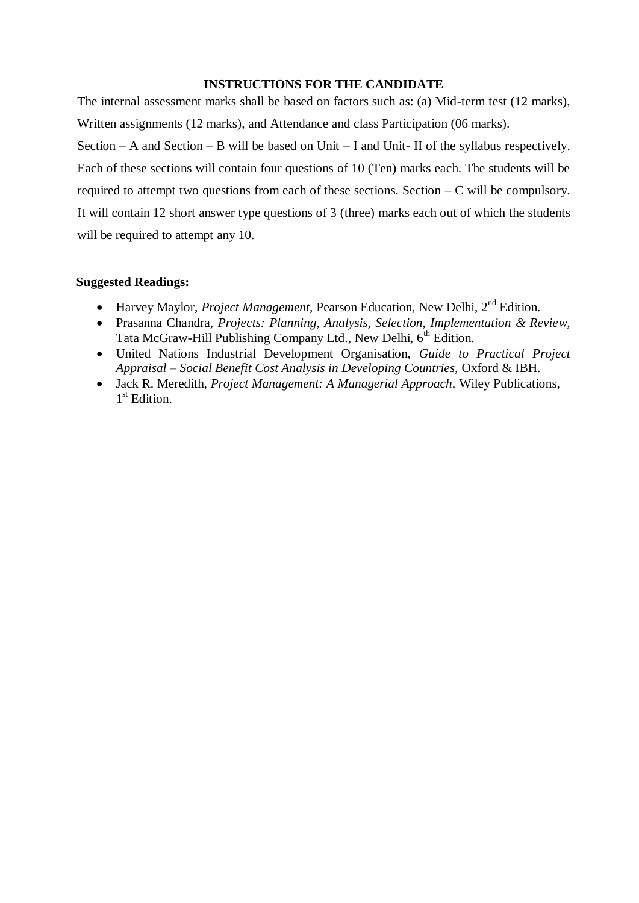### **INSTRUCTIONS FOR THE CANDIDATE**

The internal assessment marks shall be based on factors such as: (a) Mid-term test (12 marks), Written assignments (12 marks), and Attendance and class Participation (06 marks).

Section – A and Section – B will be based on Unit – I and Unit- II of the syllabus respectively. Each of these sections will contain four questions of 10 (Ten) marks each. The students will be required to attempt two questions from each of these sections. Section  $-C$  will be compulsory. It will contain 12 short answer type questions of 3 (three) marks each out of which the students will be required to attempt any 10.

- Harvey Maylor, *Project Management*, Pearson Education, New Delhi. 2<sup>nd</sup> Edition.
- Prasanna Chandra, *Projects: Planning, Analysis, Selection, Implementation & Review,*  Tata McGraw-Hill Publishing Company Ltd., New Delhi, 6<sup>th</sup> Edition.
- United Nations Industrial Development Organisation, *Guide to Practical Project Appraisal – Social Benefit Cost Analysis in Developing Countries,* Oxford & IBH.
- Jack R. Meredith, *Project Management: A Managerial Approach,* Wiley Publications, 1<sup>st</sup> Edition.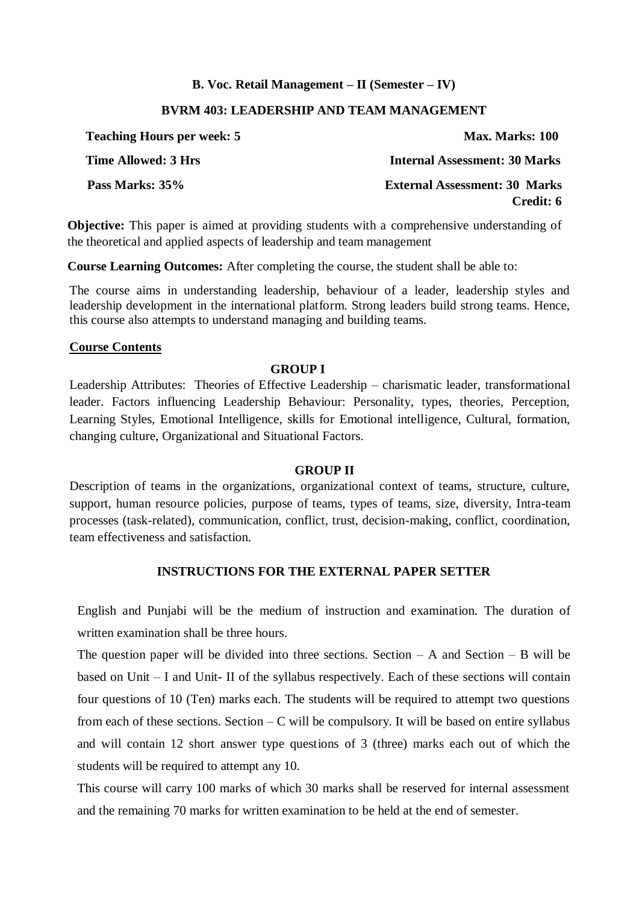### **B. Voc. Retail Management – II (Semester – IV)**

### **BVRM 403: LEADERSHIP AND TEAM MANAGEMENT**

| <b>Teaching Hours per week: 5</b> | Max. Marks: 100                      |
|-----------------------------------|--------------------------------------|
| Time Allowed: 3 Hrs               | <b>Internal Assessment: 30 Marks</b> |
| Pass Marks: 35%                   | <b>External Assessment: 30 Marks</b> |
|                                   | Credit: 6                            |

**Objective:** This paper is aimed at providing students with a comprehensive understanding of the theoretical and applied aspects of leadership and team management

**Course Learning Outcomes:** After completing the course, the student shall be able to:

The course aims in understanding leadership, behaviour of a leader, leadership styles and leadership development in the international platform. Strong leaders build strong teams. Hence, this course also attempts to understand managing and building teams.

### **Course Contents**

### **GROUP I**

Leadership Attributes: Theories of Effective Leadership – charismatic leader, transformational leader. Factors influencing Leadership Behaviour: Personality, types, theories, Perception, Learning Styles, Emotional Intelligence, skills for Emotional intelligence, Cultural, formation, changing culture, Organizational and Situational Factors.

### **GROUP II**

Description of teams in the organizations, organizational context of teams, structure, culture, support, human resource policies, purpose of teams, types of teams, size, diversity, Intra-team processes (task-related), communication, conflict, trust, decision-making, conflict, coordination, team effectiveness and satisfaction.

### **INSTRUCTIONS FOR THE EXTERNAL PAPER SETTER**

English and Punjabi will be the medium of instruction and examination. The duration of written examination shall be three hours.

The question paper will be divided into three sections. Section  $- A$  and Section  $- B$  will be based on Unit – I and Unit- II of the syllabus respectively. Each of these sections will contain four questions of 10 (Ten) marks each. The students will be required to attempt two questions from each of these sections. Section  $-C$  will be compulsory. It will be based on entire syllabus and will contain 12 short answer type questions of 3 (three) marks each out of which the students will be required to attempt any 10.

This course will carry 100 marks of which 30 marks shall be reserved for internal assessment and the remaining 70 marks for written examination to be held at the end of semester.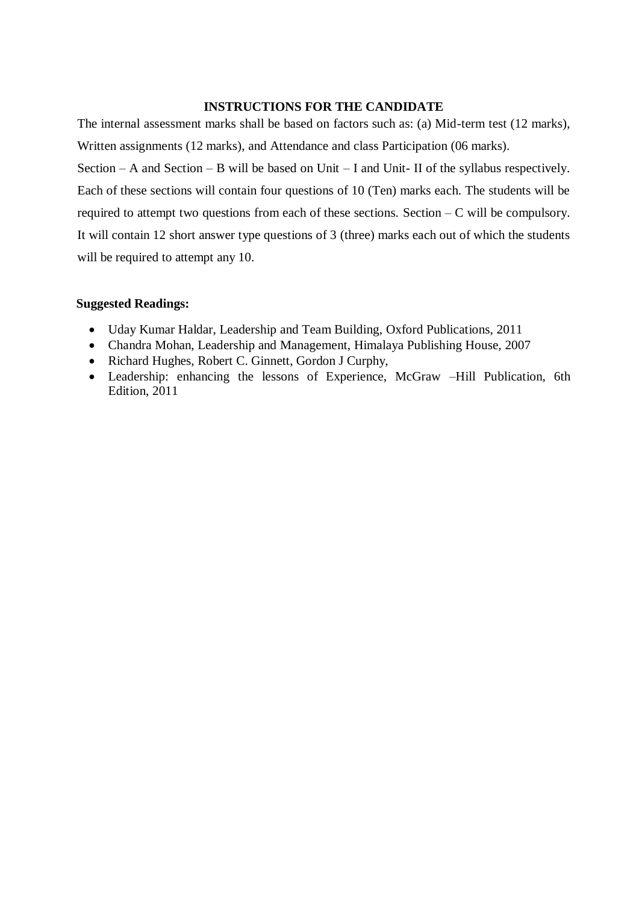### **INSTRUCTIONS FOR THE CANDIDATE**

The internal assessment marks shall be based on factors such as: (a) Mid-term test (12 marks), Written assignments (12 marks), and Attendance and class Participation (06 marks). Section – A and Section – B will be based on Unit – I and Unit- II of the syllabus respectively. Each of these sections will contain four questions of 10 (Ten) marks each. The students will be required to attempt two questions from each of these sections. Section  $-C$  will be compulsory. It will contain 12 short answer type questions of 3 (three) marks each out of which the students will be required to attempt any 10.

- Uday Kumar Haldar, Leadership and Team Building, Oxford Publications, 2011
- Chandra Mohan, Leadership and Management, Himalaya Publishing House, 2007
- Richard Hughes, Robert C. Ginnett, Gordon J Curphy,
- Leadership: enhancing the lessons of Experience, McGraw –Hill Publication, 6th Edition, 2011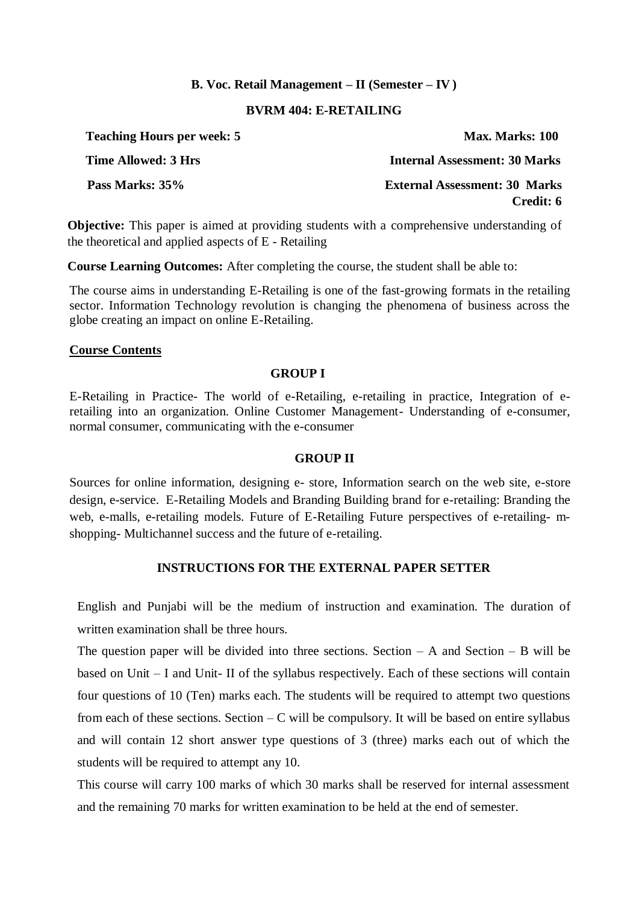### **B. Voc. Retail Management – II (Semester – IV )**

### **BVRM 404: E-RETAILING**

| <b>Teaching Hours per week: 5</b> | Max. Marks: 100                      |
|-----------------------------------|--------------------------------------|
| Time Allowed: 3 Hrs               | <b>Internal Assessment: 30 Marks</b> |
| Pass Marks: 35%                   | <b>External Assessment: 30 Marks</b> |
|                                   | Credit: 6                            |

**Objective:** This paper is aimed at providing students with a comprehensive understanding of the theoretical and applied aspects of E - Retailing

**Course Learning Outcomes:** After completing the course, the student shall be able to:

The course aims in understanding E-Retailing is one of the fast-growing formats in the retailing sector. Information Technology revolution is changing the phenomena of business across the globe creating an impact on online E-Retailing.

### **Course Contents**

### **GROUP I**

E-Retailing in Practice- The world of e-Retailing, e-retailing in practice, Integration of eretailing into an organization. Online Customer Management- Understanding of e-consumer, normal consumer, communicating with the e-consumer

### **GROUP II**

Sources for online information, designing e- store, Information search on the web site, e-store design, e-service. E-Retailing Models and Branding Building brand for e-retailing: Branding the web, e-malls, e-retailing models. Future of E-Retailing Future perspectives of e-retailing- mshopping- Multichannel success and the future of e-retailing.

### **INSTRUCTIONS FOR THE EXTERNAL PAPER SETTER**

English and Punjabi will be the medium of instruction and examination. The duration of written examination shall be three hours.

The question paper will be divided into three sections. Section  $- A$  and Section  $- B$  will be based on Unit – I and Unit- II of the syllabus respectively. Each of these sections will contain four questions of 10 (Ten) marks each. The students will be required to attempt two questions from each of these sections. Section  $-C$  will be compulsory. It will be based on entire syllabus and will contain 12 short answer type questions of 3 (three) marks each out of which the students will be required to attempt any 10.

This course will carry 100 marks of which 30 marks shall be reserved for internal assessment and the remaining 70 marks for written examination to be held at the end of semester.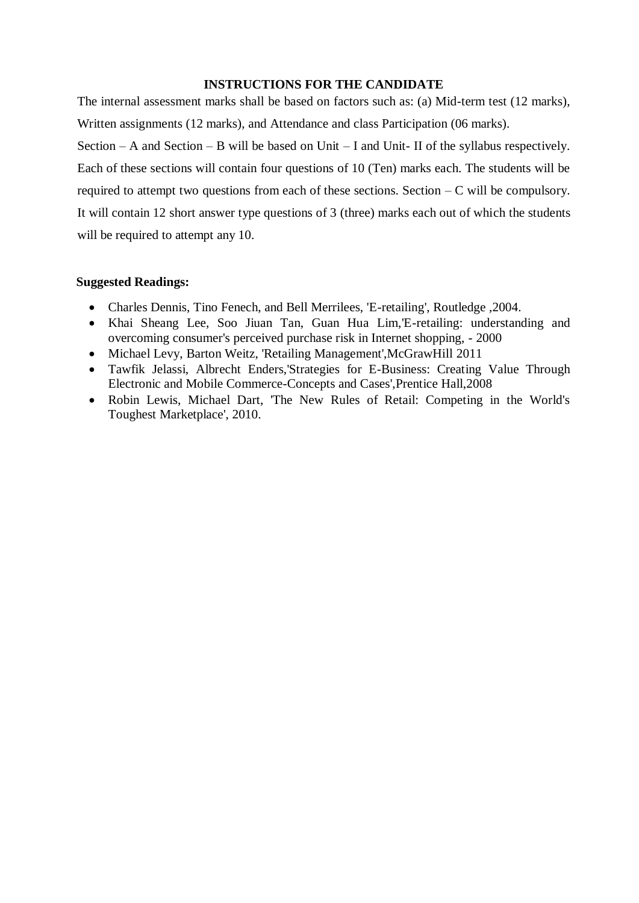### **INSTRUCTIONS FOR THE CANDIDATE**

The internal assessment marks shall be based on factors such as: (a) Mid-term test (12 marks), Written assignments (12 marks), and Attendance and class Participation (06 marks).

Section – A and Section – B will be based on Unit – I and Unit- II of the syllabus respectively. Each of these sections will contain four questions of 10 (Ten) marks each. The students will be required to attempt two questions from each of these sections. Section  $-C$  will be compulsory. It will contain 12 short answer type questions of 3 (three) marks each out of which the students will be required to attempt any 10.

- Charles Dennis, Tino Fenech, and Bell Merrilees, 'E-retailing', Routledge ,2004.
- Khai Sheang Lee, Soo Jiuan Tan, Guan Hua Lim,'E-retailing: understanding and overcoming consumer's perceived purchase risk in Internet shopping, - 2000
- Michael Levy, Barton Weitz, 'Retailing Management',McGrawHill 2011
- Tawfik Jelassi, Albrecht Enders,'Strategies for E-Business: Creating Value Through Electronic and Mobile Commerce-Concepts and Cases',Prentice Hall,2008
- Robin Lewis, Michael Dart, 'The New Rules of Retail: Competing in the World's Toughest Marketplace', 2010.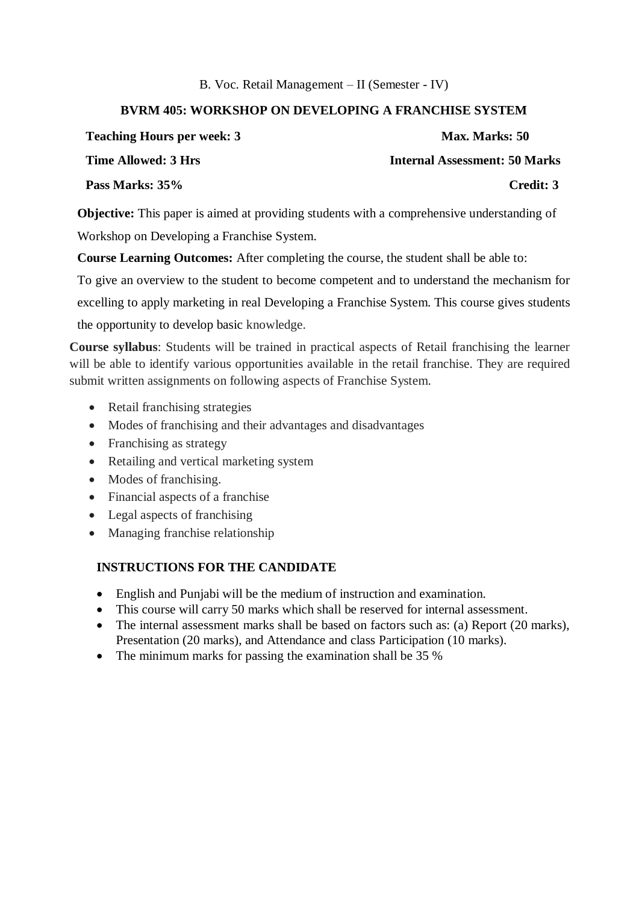### B. Voc. Retail Management – II (Semester - IV)

### **BVRM 405: WORKSHOP ON DEVELOPING A FRANCHISE SYSTEM**

| <b>Teaching Hours per week: 3</b> | Max. Marks: 50                       |
|-----------------------------------|--------------------------------------|
| Time Allowed: 3 Hrs               | <b>Internal Assessment: 50 Marks</b> |
| Pass Marks: 35%                   | Credit: 3                            |

**Objective:** This paper is aimed at providing students with a comprehensive understanding of Workshop on Developing a Franchise System.

**Course Learning Outcomes:** After completing the course, the student shall be able to:

To give an overview to the student to become competent and to understand the mechanism for

excelling to apply marketing in real Developing a Franchise System. This course gives students

the opportunity to develop basic knowledge.

**Course syllabus**: Students will be trained in practical aspects of Retail franchising the learner will be able to identify various opportunities available in the retail franchise. They are required submit written assignments on following aspects of Franchise System.

- Retail franchising strategies
- Modes of franchising and their advantages and disadvantages
- Franchising as strategy
- Retailing and vertical marketing system
- Modes of franchising.
- Financial aspects of a franchise
- Legal aspects of franchising
- Managing franchise relationship

### **INSTRUCTIONS FOR THE CANDIDATE**

- English and Punjabi will be the medium of instruction and examination.
- This course will carry 50 marks which shall be reserved for internal assessment.
- The internal assessment marks shall be based on factors such as: (a) Report (20 marks), Presentation (20 marks), and Attendance and class Participation (10 marks).
- The minimum marks for passing the examination shall be 35 %